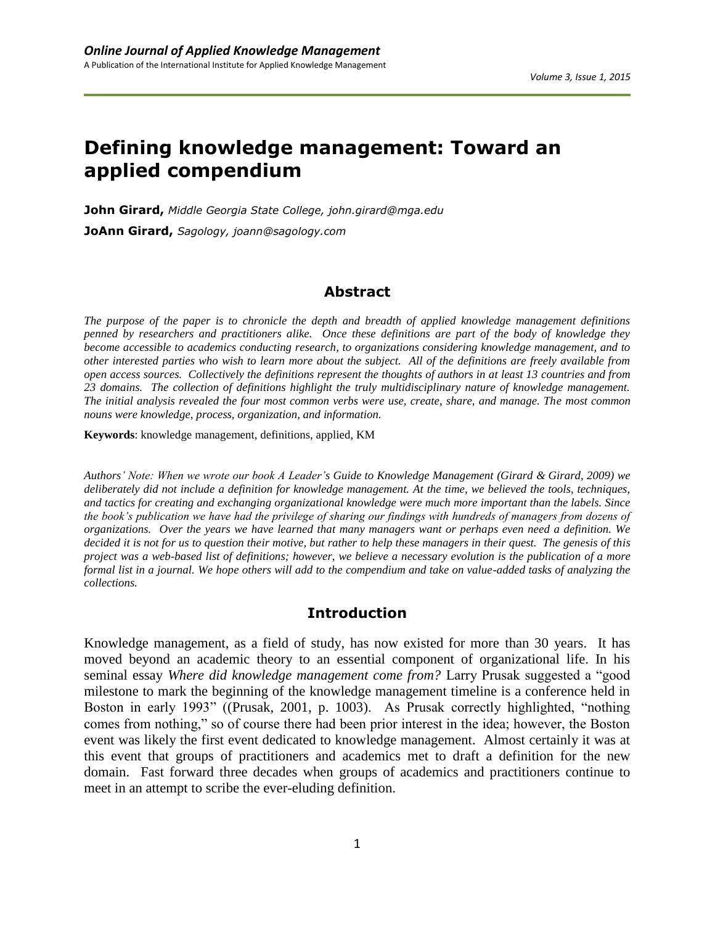# **Defining knowledge management: Toward an applied compendium**

**John Girard,** *Middle Georgia State College, john.girard@mga.edu* **JoAnn Girard,** *Sagology, joann@sagology.com*

### **Abstract**

*The purpose of the paper is to chronicle the depth and breadth of applied knowledge management definitions penned by researchers and practitioners alike. Once these definitions are part of the body of knowledge they become accessible to academics conducting research, to organizations considering knowledge management, and to other interested parties who wish to learn more about the subject. All of the definitions are freely available from open access sources. Collectively the definitions represent the thoughts of authors in at least 13 countries and from 23 domains. The collection of definitions highlight the truly multidisciplinary nature of knowledge management. The initial analysis revealed the four most common verbs were use, create, share, and manage. The most common nouns were knowledge, process, organization, and information.* 

**Keywords**: knowledge management, definitions, applied, KM

*Authors' Note: When we wrote our book A Leader's Guide to Knowledge Management (Girard & Girard, 2009) we deliberately did not include a definition for knowledge management. At the time, we believed the tools, techniques, and tactics for creating and exchanging organizational knowledge were much more important than the labels. Since the book's publication we have had the privilege of sharing our findings with hundreds of managers from dozens of organizations. Over the years we have learned that many managers want or perhaps even need a definition. We decided it is not for us to question their motive, but rather to help these managers in their quest. The genesis of this project was a web-based list of definitions; however, we believe a necessary evolution is the publication of a more formal list in a journal. We hope others will add to the compendium and take on value-added tasks of analyzing the collections.*

#### **Introduction**

Knowledge management, as a field of study, has now existed for more than 30 years. It has moved beyond an academic theory to an essential component of organizational life. In his seminal essay *Where did knowledge management come from?* Larry Prusak suggested a "good milestone to mark the beginning of the knowledge management timeline is a conference held in Boston in early 1993" ((Prusak, 2001, p. 1003). As Prusak correctly highlighted, "nothing comes from nothing," so of course there had been prior interest in the idea; however, the Boston event was likely the first event dedicated to knowledge management. Almost certainly it was at this event that groups of practitioners and academics met to draft a definition for the new domain. Fast forward three decades when groups of academics and practitioners continue to meet in an attempt to scribe the ever-eluding definition.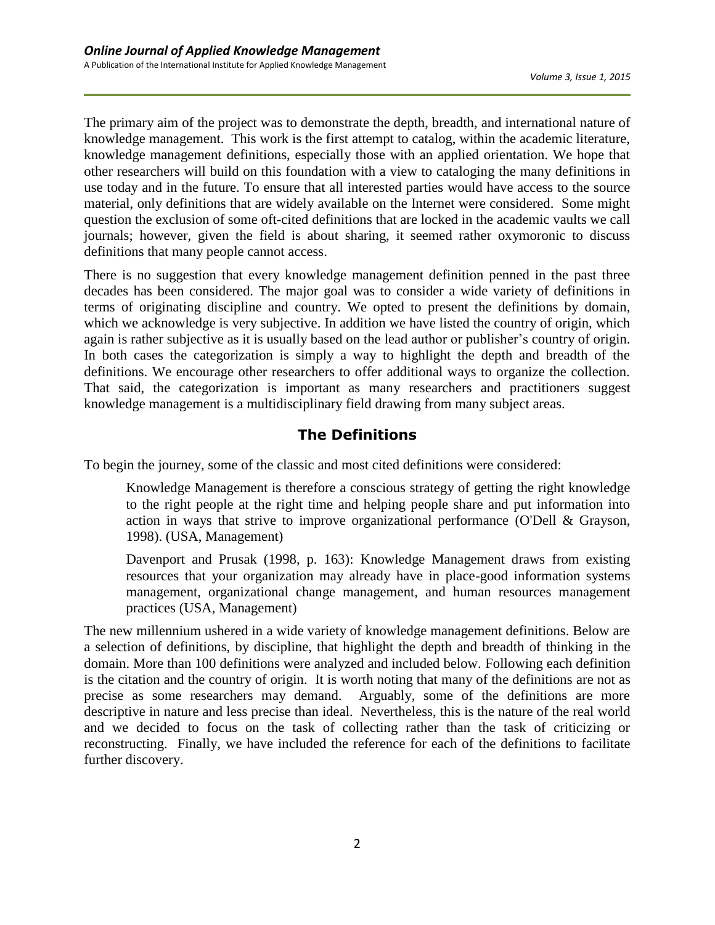The primary aim of the project was to demonstrate the depth, breadth, and international nature of knowledge management. This work is the first attempt to catalog, within the academic literature, knowledge management definitions, especially those with an applied orientation. We hope that other researchers will build on this foundation with a view to cataloging the many definitions in use today and in the future. To ensure that all interested parties would have access to the source material, only definitions that are widely available on the Internet were considered. Some might question the exclusion of some oft-cited definitions that are locked in the academic vaults we call journals; however, given the field is about sharing, it seemed rather oxymoronic to discuss definitions that many people cannot access.

There is no suggestion that every knowledge management definition penned in the past three decades has been considered. The major goal was to consider a wide variety of definitions in terms of originating discipline and country. We opted to present the definitions by domain, which we acknowledge is very subjective. In addition we have listed the country of origin, which again is rather subjective as it is usually based on the lead author or publisher's country of origin. In both cases the categorization is simply a way to highlight the depth and breadth of the definitions. We encourage other researchers to offer additional ways to organize the collection. That said, the categorization is important as many researchers and practitioners suggest knowledge management is a multidisciplinary field drawing from many subject areas.

## **The Definitions**

To begin the journey, some of the classic and most cited definitions were considered:

Knowledge Management is therefore a conscious strategy of getting the right knowledge to the right people at the right time and helping people share and put information into action in ways that strive to improve organizational performance (O'Dell & Grayson, 1998). (USA, Management)

Davenport and Prusak (1998, p. 163): Knowledge Management draws from existing resources that your organization may already have in place-good information systems management, organizational change management, and human resources management practices (USA, Management)

The new millennium ushered in a wide variety of knowledge management definitions. Below are a selection of definitions, by discipline, that highlight the depth and breadth of thinking in the domain. More than 100 definitions were analyzed and included below. Following each definition is the citation and the country of origin. It is worth noting that many of the definitions are not as precise as some researchers may demand. Arguably, some of the definitions are more descriptive in nature and less precise than ideal. Nevertheless, this is the nature of the real world and we decided to focus on the task of collecting rather than the task of criticizing or reconstructing. Finally, we have included the reference for each of the definitions to facilitate further discovery.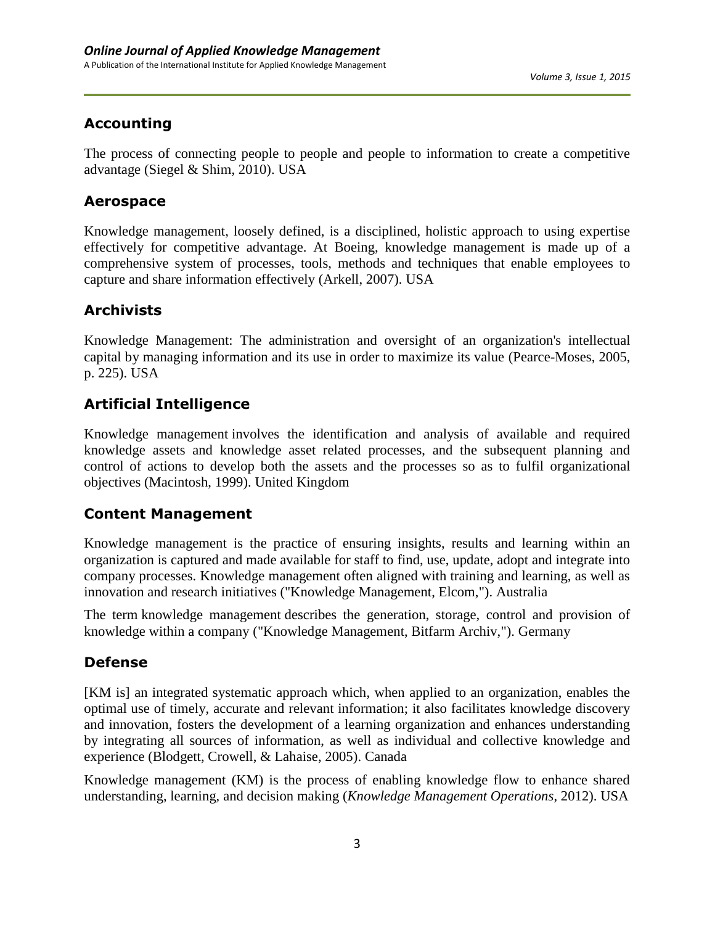## **Accounting**

The process of connecting people to people and people to information to create a competitive advantage (Siegel & Shim, 2010). USA

### **Aerospace**

Knowledge management, loosely defined, is a disciplined, holistic approach to using expertise effectively for competitive advantage. At Boeing, knowledge management is made up of a comprehensive system of processes, tools, methods and techniques that enable employees to capture and share information effectively (Arkell, 2007). USA

## **Archivists**

Knowledge Management: The administration and oversight of an organization's intellectual capital by managing information and its use in order to maximize its value (Pearce-Moses, 2005, p. 225). USA

## **Artificial Intelligence**

Knowledge management involves the identification and analysis of available and required knowledge assets and knowledge asset related processes, and the subsequent planning and control of actions to develop both the assets and the processes so as to fulfil organizational objectives (Macintosh, 1999). United Kingdom

## **Content Management**

Knowledge management is the practice of ensuring insights, results and learning within an organization is captured and made available for staff to find, use, update, adopt and integrate into company processes. Knowledge management often aligned with training and learning, as well as innovation and research initiatives ("Knowledge Management, Elcom,"). Australia

The term knowledge management describes the generation, storage, control and provision of knowledge within a company ("Knowledge Management, Bitfarm Archiv,"). Germany

## **Defense**

[KM is] an integrated systematic approach which, when applied to an organization, enables the optimal use of timely, accurate and relevant information; it also facilitates knowledge discovery and innovation, fosters the development of a learning organization and enhances understanding by integrating all sources of information, as well as individual and collective knowledge and experience (Blodgett, Crowell, & Lahaise, 2005). Canada

Knowledge management (KM) is the process of enabling knowledge flow to enhance shared understanding, learning, and decision making (*Knowledge Management Operations*, 2012). USA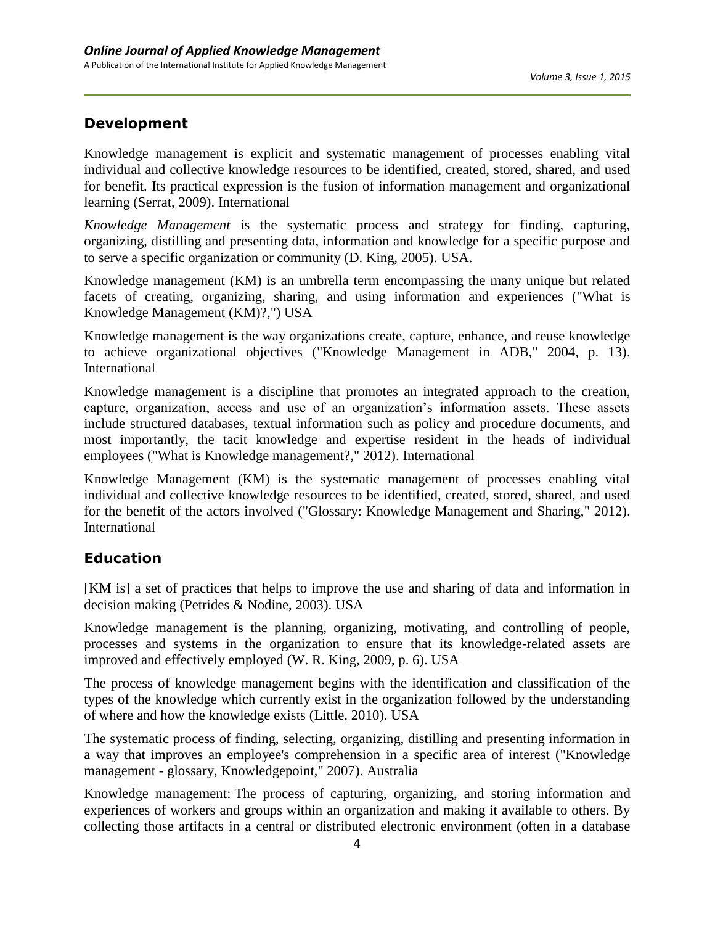### **Development**

Knowledge management is explicit and systematic management of processes enabling vital individual and collective knowledge resources to be identified, created, stored, shared, and used for benefit. Its practical expression is the fusion of information management and organizational learning (Serrat, 2009). International

*Knowledge Management* is the systematic process and strategy for finding, capturing, organizing, distilling and presenting data, information and knowledge for a specific purpose and to serve a specific organization or community (D. King, 2005). USA.

Knowledge management (KM) is an umbrella term encompassing the many unique but related facets of creating, organizing, sharing, and using information and experiences ("What is Knowledge Management (KM)?,") USA

Knowledge management is the way organizations create, capture, enhance, and reuse knowledge to achieve organizational objectives ("Knowledge Management in ADB," 2004, p. 13). International

Knowledge management is a discipline that promotes an integrated approach to the creation, capture, organization, access and use of an organization's information assets. These assets include structured databases, textual information such as policy and procedure documents, and most importantly, the tacit knowledge and expertise resident in the heads of individual employees ("What is Knowledge management?," 2012). International

Knowledge Management (KM) is the systematic management of processes enabling vital individual and collective knowledge resources to be identified, created, stored, shared, and used for the benefit of the actors involved ("Glossary: Knowledge Management and Sharing," 2012). International

## **Education**

[KM is] a set of practices that helps to improve the use and sharing of data and information in decision making (Petrides & Nodine, 2003). USA

Knowledge management is the planning, organizing, motivating, and controlling of people, processes and systems in the organization to ensure that its knowledge-related assets are improved and effectively employed (W. R. King, 2009, p. 6). USA

The process of knowledge management begins with the identification and classification of the types of the knowledge which currently exist in the organization followed by the understanding of where and how the knowledge exists (Little, 2010). USA

The systematic process of finding, selecting, organizing, distilling and presenting information in a way that improves an employee's comprehension in a specific area of interest ("Knowledge management - glossary, Knowledgepoint," 2007). Australia

Knowledge management: The process of capturing, organizing, and storing information and experiences of workers and groups within an organization and making it available to others. By collecting those artifacts in a central or distributed electronic environment (often in a database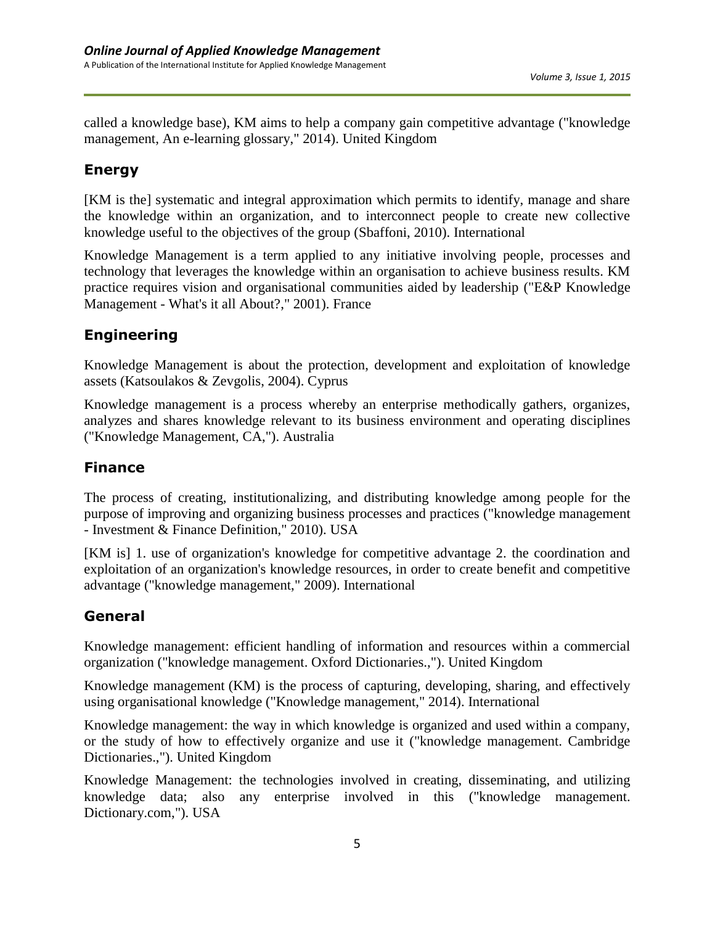called a knowledge base), KM aims to help a company gain competitive advantage ("knowledge management, An e-learning glossary," 2014). United Kingdom

### **Energy**

[KM is the] systematic and integral approximation which permits to identify, manage and share the knowledge within an organization, and to interconnect people to create new collective knowledge useful to the objectives of the group (Sbaffoni, 2010). International

Knowledge Management is a term applied to any initiative involving people, processes and technology that leverages the knowledge within an organisation to achieve business results. KM practice requires vision and organisational communities aided by leadership ("E&P Knowledge Management - What's it all About?," 2001). France

## **Engineering**

Knowledge Management is about the protection, development and exploitation of knowledge assets (Katsoulakos & Zevgolis, 2004). Cyprus

Knowledge management is a process whereby an enterprise methodically gathers, organizes, analyzes and shares knowledge relevant to its business environment and operating disciplines ("Knowledge Management, CA,"). Australia

## **Finance**

The process of creating, institutionalizing, and distributing knowledge among people for the purpose of improving and organizing business processes and practices ("knowledge management - Investment & Finance Definition," 2010). USA

[KM is] 1. use of organization's knowledge for competitive advantage 2. the coordination and exploitation of an organization's knowledge resources, in order to create benefit and competitive advantage ("knowledge management," 2009). International

## **General**

Knowledge management: efficient handling of information and resources within a commercial organization ("knowledge management. Oxford Dictionaries.,"). United Kingdom

Knowledge management (KM) is the process of capturing, developing, sharing, and effectively using organisational knowledge ("Knowledge management," 2014). International

Knowledge management: the way in which knowledge is organized and used within a company, or the study of how to effectively organize and use it ("knowledge management. Cambridge Dictionaries.,"). United Kingdom

Knowledge Management: the technologies involved in creating, disseminating, and utilizing knowledge data; also any enterprise involved in this ("knowledge management. Dictionary.com,"). USA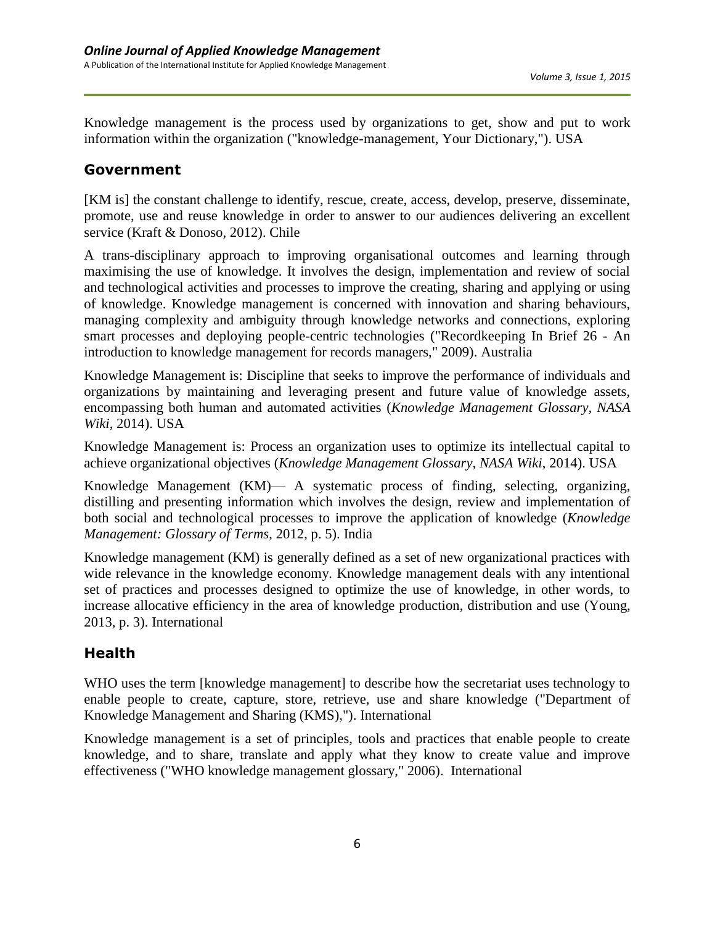Knowledge management is the process used by organizations to get, show and put to work information within the organization ("knowledge-management, Your Dictionary,"). USA

### **Government**

[KM is] the constant challenge to identify, rescue, create, access, develop, preserve, disseminate, promote, use and reuse knowledge in order to answer to our audiences delivering an excellent service (Kraft & Donoso, 2012). Chile

A trans-disciplinary approach to improving organisational outcomes and learning through maximising the use of knowledge. It involves the design, implementation and review of social and technological activities and processes to improve the creating, sharing and applying or using of knowledge. Knowledge management is concerned with innovation and sharing behaviours, managing complexity and ambiguity through knowledge networks and connections, exploring smart processes and deploying people-centric technologies ("Recordkeeping In Brief 26 - An introduction to knowledge management for records managers," 2009). Australia

Knowledge Management is: Discipline that seeks to improve the performance of individuals and organizations by maintaining and leveraging present and future value of knowledge assets, encompassing both human and automated activities (*Knowledge Management Glossary, NASA Wiki*, 2014). USA

Knowledge Management is: Process an organization uses to optimize its intellectual capital to achieve organizational objectives (*Knowledge Management Glossary, NASA Wiki*, 2014). USA

Knowledge Management (KM)— A systematic process of finding, selecting, organizing, distilling and presenting information which involves the design, review and implementation of both social and technological processes to improve the application of knowledge (*Knowledge Management: Glossary of Terms*, 2012, p. 5). India

Knowledge management (KM) is generally defined as a set of new organizational practices with wide relevance in the knowledge economy. Knowledge management deals with any intentional set of practices and processes designed to optimize the use of knowledge, in other words, to increase allocative efficiency in the area of knowledge production, distribution and use (Young, 2013, p. 3). International

## **Health**

WHO uses the term [knowledge management] to describe how the secretariat uses technology to enable people to create, capture, store, retrieve, use and share knowledge ("Department of Knowledge Management and Sharing (KMS),"). International

Knowledge management is a set of principles, tools and practices that enable people to create knowledge, and to share, translate and apply what they know to create value and improve effectiveness ("WHO knowledge management glossary," 2006). International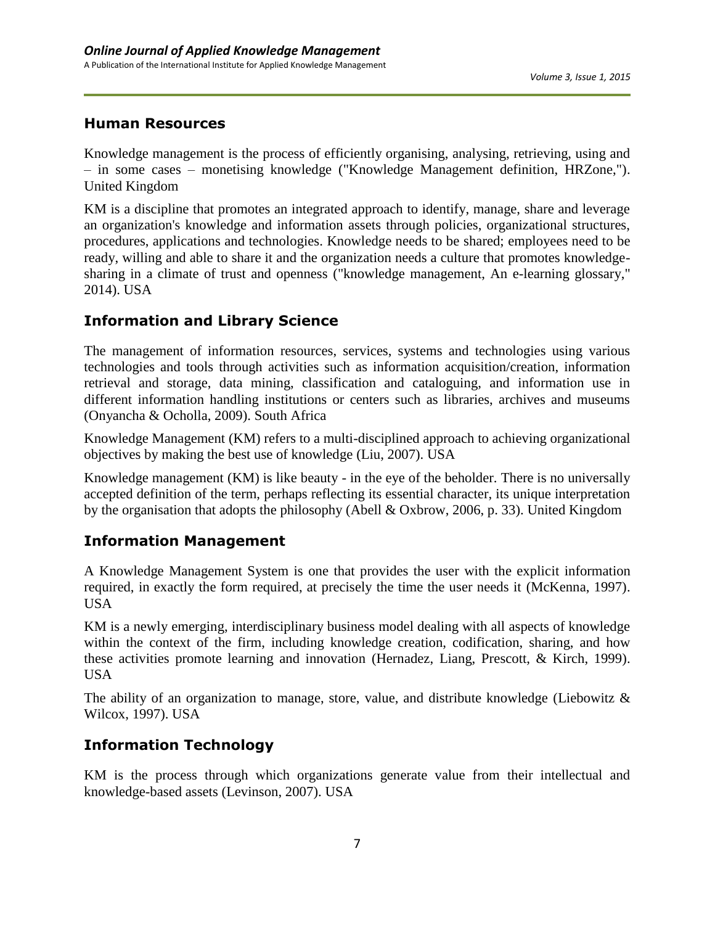### **Human Resources**

Knowledge management is the process of efficiently organising, analysing, retrieving, using and – in some cases – monetising knowledge ("Knowledge Management definition, HRZone,"). United Kingdom

KM is a discipline that promotes an integrated approach to identify, manage, share and leverage an organization's knowledge and information assets through policies, organizational structures, procedures, applications and technologies. Knowledge needs to be shared; employees need to be ready, willing and able to share it and the organization needs a culture that promotes knowledgesharing in a climate of trust and openness ("knowledge management, An e-learning glossary," 2014). USA

## **Information and Library Science**

The management of information resources, services, systems and technologies using various technologies and tools through activities such as information acquisition/creation, information retrieval and storage, data mining, classification and cataloguing, and information use in different information handling institutions or centers such as libraries, archives and museums (Onyancha & Ocholla, 2009). South Africa

Knowledge Management (KM) refers to a multi-disciplined approach to achieving organizational objectives by making the best use of knowledge (Liu, 2007). USA

Knowledge management (KM) is like beauty - in the eye of the beholder. There is no universally accepted definition of the term, perhaps reflecting its essential character, its unique interpretation by the organisation that adopts the philosophy (Abell & Oxbrow, 2006, p. 33). United Kingdom

## **Information Management**

A Knowledge Management System is one that provides the user with the explicit information required, in exactly the form required, at precisely the time the user needs it (McKenna, 1997). USA

KM is a newly emerging, interdisciplinary business model dealing with all aspects of knowledge within the context of the firm, including knowledge creation, codification, sharing, and how these activities promote learning and innovation (Hernadez, Liang, Prescott, & Kirch, 1999). USA

The ability of an organization to manage, store, value, and distribute knowledge (Liebowitz & Wilcox, 1997). USA

## **Information Technology**

KM is the process through which organizations generate value from their intellectual and knowledge-based assets (Levinson, 2007). USA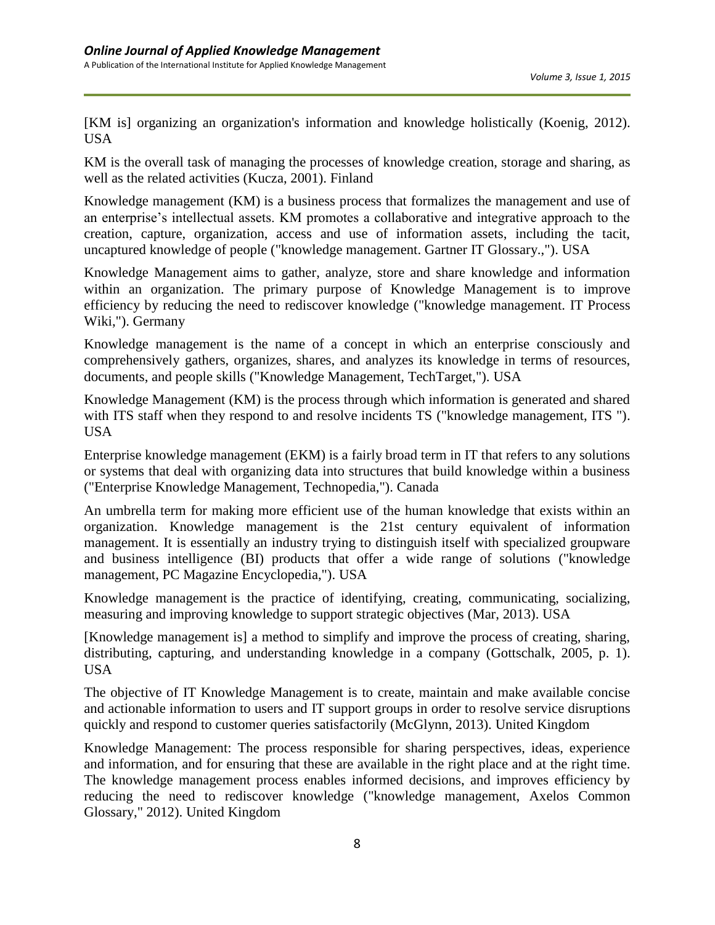[KM is] organizing an organization's information and knowledge holistically (Koenig, 2012). USA

KM is the overall task of managing the processes of knowledge creation, storage and sharing, as well as the related activities (Kucza, 2001). Finland

Knowledge management (KM) is a business process that formalizes the management and use of an enterprise's intellectual assets. KM promotes a collaborative and integrative approach to the creation, capture, organization, access and use of information assets, including the tacit, uncaptured knowledge of people ("knowledge management. Gartner IT Glossary.,"). USA

Knowledge Management aims to gather, analyze, store and share knowledge and information within an organization. The primary purpose of Knowledge Management is to improve efficiency by reducing the need to rediscover knowledge ("knowledge management. IT Process Wiki,"). Germany

Knowledge management is the name of a concept in which an enterprise consciously and comprehensively gathers, organizes, shares, and analyzes its knowledge in terms of resources, documents, and people skills ("Knowledge Management, TechTarget,"). USA

Knowledge Management (KM) is the process through which information is generated and shared with ITS staff when they respond to and resolve incidents TS ("knowledge management, ITS "). USA

Enterprise knowledge management (EKM) is a fairly broad term in IT that refers to any solutions or systems that deal with organizing data into structures that build knowledge within a business ("Enterprise Knowledge Management, Technopedia,"). Canada

An umbrella term for making more efficient use of the human knowledge that exists within an organization. Knowledge management is the 21st century equivalent of information management. It is essentially an industry trying to distinguish itself with specialized groupware and business intelligence (BI) products that offer a wide range of solutions ("knowledge management, PC Magazine Encyclopedia,"). USA

Knowledge management is the practice of identifying, creating, communicating, socializing, measuring and improving knowledge to support strategic objectives (Mar, 2013). USA

[Knowledge management is] a method to simplify and improve the process of creating, sharing, distributing, capturing, and understanding knowledge in a company (Gottschalk, 2005, p. 1). USA

The objective of IT Knowledge Management is to create, maintain and make available concise and actionable information to users and IT support groups in order to resolve service disruptions quickly and respond to customer queries satisfactorily (McGlynn, 2013). United Kingdom

Knowledge Management: The process responsible for sharing perspectives, ideas, experience and information, and for ensuring that these are available in the right place and at the right time. The knowledge management process enables informed decisions, and improves efficiency by reducing the need to rediscover knowledge ("knowledge management, Axelos Common Glossary," 2012). United Kingdom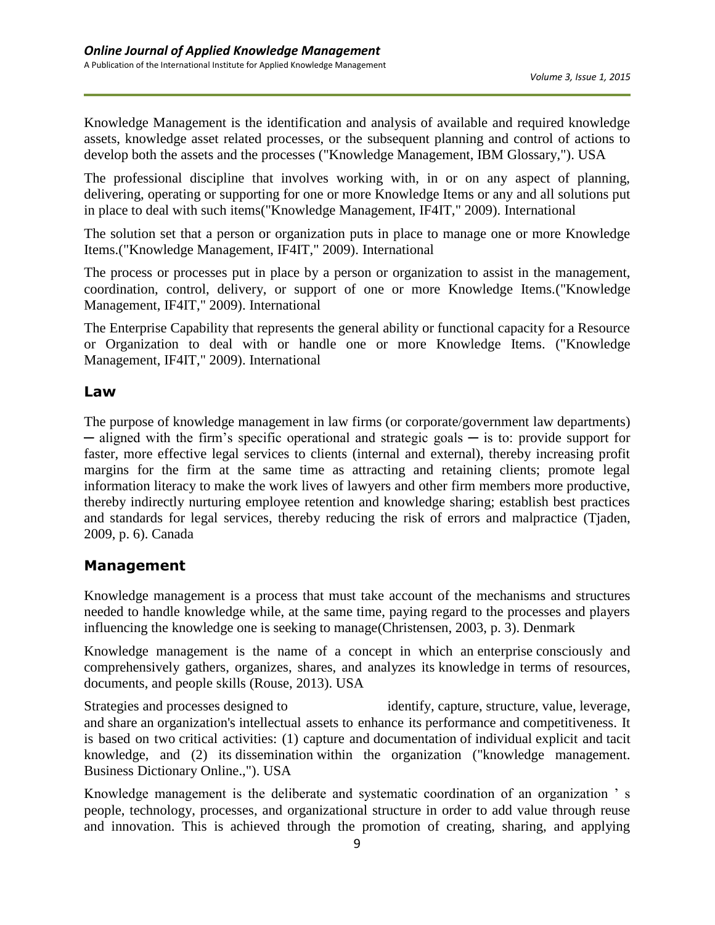Knowledge Management is the identification and analysis of available and required knowledge assets, knowledge asset related processes, or the subsequent planning and control of actions to develop both the assets and the processes ("Knowledge Management, IBM Glossary,"). USA

The professional discipline that involves working with, in or on any aspect of planning, delivering, operating or supporting for one or more Knowledge Items or any and all solutions put in place to deal with such items("Knowledge Management, IF4IT," 2009). International

The solution set that a person or organization puts in place to manage one or more Knowledge Items.("Knowledge Management, IF4IT," 2009). International

The process or processes put in place by a person or organization to assist in the management, coordination, control, delivery, or support of one or more Knowledge Items.("Knowledge Management, IF4IT," 2009). International

The Enterprise Capability that represents the general ability or functional capacity for a Resource or Organization to deal with or handle one or more Knowledge Items. ("Knowledge Management, IF4IT," 2009). International

#### **Law**

The purpose of knowledge management in law firms (or corporate/government law departments) ─ aligned with the firm's specific operational and strategic goals ─ is to: provide support for faster, more effective legal services to clients (internal and external), thereby increasing profit margins for the firm at the same time as attracting and retaining clients; promote legal information literacy to make the work lives of lawyers and other firm members more productive, thereby indirectly nurturing employee retention and knowledge sharing; establish best practices and standards for legal services, thereby reducing the risk of errors and malpractice (Tjaden, 2009, p. 6). Canada

#### **Management**

Knowledge management is a process that must take account of the mechanisms and structures needed to handle knowledge while, at the same time, paying regard to the processes and players influencing the knowledge one is seeking to manage(Christensen, 2003, p. 3). Denmark

Knowledge management is the name of a concept in which an enterprise consciously and comprehensively gathers, organizes, shares, and analyzes its knowledge in terms of resources, documents, and people skills (Rouse, 2013). USA

Strategies and processes designed to identify, capture, structure, value, leverage, and share an organization's intellectual assets to enhance its performance and competitiveness. It is based on two critical activities: (1) capture and documentation of individual explicit and tacit knowledge, and (2) its dissemination within the organization ("knowledge management. Business Dictionary Online.,"). USA

Knowledge management is the deliberate and systematic coordination of an organization 's people, technology, processes, and organizational structure in order to add value through reuse and innovation. This is achieved through the promotion of creating, sharing, and applying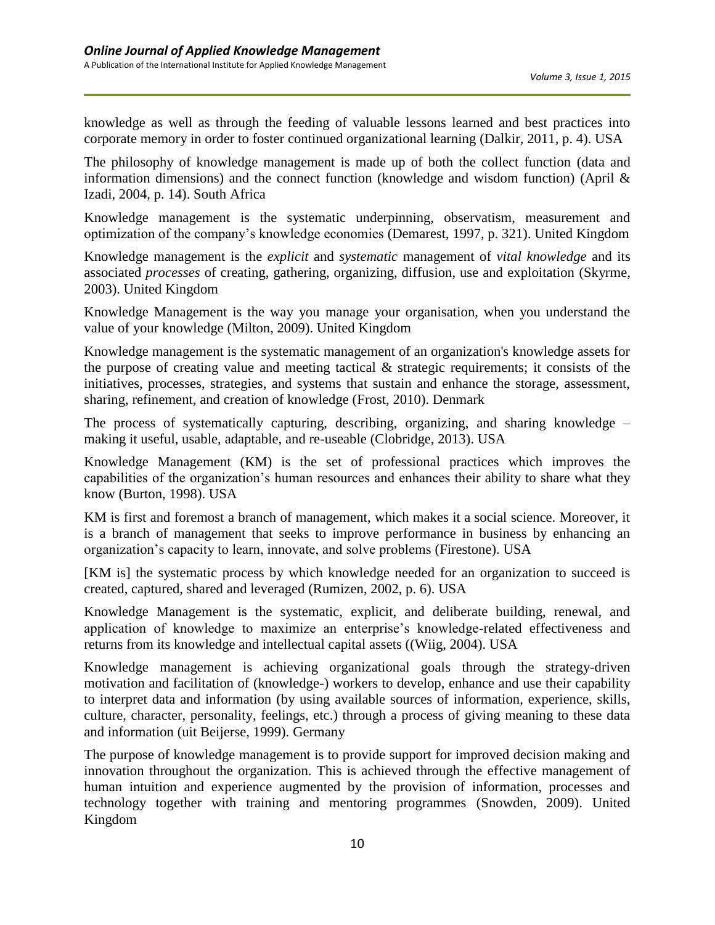knowledge as well as through the feeding of valuable lessons learned and best practices into corporate memory in order to foster continued organizational learning (Dalkir, 2011, p. 4). USA

The philosophy of knowledge management is made up of both the collect function (data and information dimensions) and the connect function (knowledge and wisdom function) (April  $\&$ Izadi, 2004, p. 14). South Africa

Knowledge management is the systematic underpinning, observatism, measurement and optimization of the company's knowledge economies (Demarest, 1997, p. 321). United Kingdom

Knowledge management is the *explicit* and *systematic* management of *vital knowledge* and its associated *processes* of creating, gathering, organizing, diffusion, use and exploitation (Skyrme, 2003). United Kingdom

Knowledge Management is the way you manage your organisation, when you understand the value of your knowledge (Milton, 2009). United Kingdom

Knowledge management is the systematic management of an organization's knowledge assets for the purpose of creating value and meeting tactical  $\&$  strategic requirements; it consists of the initiatives, processes, strategies, and systems that sustain and enhance the storage, assessment, sharing, refinement, and creation of knowledge (Frost, 2010). Denmark

The process of systematically capturing, describing, organizing, and sharing knowledge – making it useful, usable, adaptable, and re-useable (Clobridge, 2013). USA

Knowledge Management (KM) is the set of professional practices which improves the capabilities of the organization's human resources and enhances their ability to share what they know (Burton, 1998). USA

KM is first and foremost a branch of management, which makes it a social science. Moreover, it is a branch of management that seeks to improve performance in business by enhancing an organization's capacity to learn, innovate, and solve problems (Firestone). USA

[KM is] the systematic process by which knowledge needed for an organization to succeed is created, captured, shared and leveraged (Rumizen, 2002, p. 6). USA

Knowledge Management is the systematic, explicit, and deliberate building, renewal, and application of knowledge to maximize an enterprise's knowledge-related effectiveness and returns from its knowledge and intellectual capital assets ((Wiig, 2004). USA

Knowledge management is achieving organizational goals through the strategy-driven motivation and facilitation of (knowledge-) workers to develop, enhance and use their capability to interpret data and information (by using available sources of information, experience, skills, culture, character, personality, feelings, etc.) through a process of giving meaning to these data and information (uit Beijerse, 1999). Germany

The purpose of knowledge management is to provide support for improved decision making and innovation throughout the organization. This is achieved through the effective management of human intuition and experience augmented by the provision of information, processes and technology together with training and mentoring programmes (Snowden, 2009). United Kingdom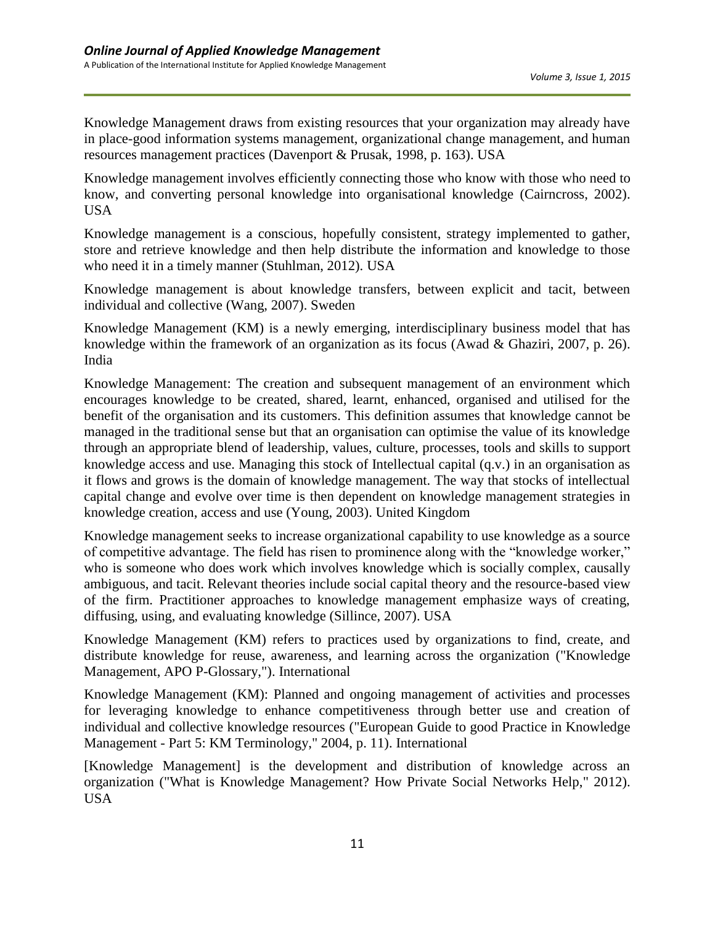Knowledge Management draws from existing resources that your organization may already have in place-good information systems management, organizational change management, and human resources management practices (Davenport & Prusak, 1998, p. 163). USA

Knowledge management involves efficiently connecting those who know with those who need to know, and converting personal knowledge into organisational knowledge (Cairncross, 2002). USA

Knowledge management is a conscious, hopefully consistent, strategy implemented to gather, store and retrieve knowledge and then help distribute the information and knowledge to those who need it in a timely manner (Stuhlman, 2012). USA

Knowledge management is about knowledge transfers, between explicit and tacit, between individual and collective (Wang, 2007). Sweden

Knowledge Management (KM) is a newly emerging, interdisciplinary business model that has knowledge within the framework of an organization as its focus (Awad & Ghaziri, 2007, p. 26). India

Knowledge Management: The creation and subsequent management of an environment which encourages knowledge to be created, shared, learnt, enhanced, organised and utilised for the benefit of the organisation and its customers. This definition assumes that knowledge cannot be managed in the traditional sense but that an organisation can optimise the value of its knowledge through an appropriate blend of leadership, values, culture, processes, tools and skills to support knowledge access and use. Managing this stock of Intellectual capital (q.v.) in an organisation as it flows and grows is the domain of knowledge management. The way that stocks of intellectual capital change and evolve over time is then dependent on knowledge management strategies in knowledge creation, access and use (Young, 2003). United Kingdom

Knowledge management seeks to increase organizational capability to use knowledge as a source of competitive advantage. The field has risen to prominence along with the "knowledge worker," who is someone who does work which involves knowledge which is socially complex, causally ambiguous, and tacit. Relevant theories include social capital theory and the resource-based view of the firm. Practitioner approaches to knowledge management emphasize ways of creating, diffusing, using, and evaluating knowledge (Sillince, 2007). USA

Knowledge Management (KM) refers to practices used by organizations to find, create, and distribute knowledge for reuse, awareness, and learning across the organization ("Knowledge Management, APO P-Glossary,"). International

Knowledge Management (KM): Planned and ongoing management of activities and processes for leveraging knowledge to enhance competitiveness through better use and creation of individual and collective knowledge resources ("European Guide to good Practice in Knowledge Management - Part 5: KM Terminology," 2004, p. 11). International

[Knowledge Management] is the development and distribution of knowledge across an organization ("What is Knowledge Management? How Private Social Networks Help," 2012). USA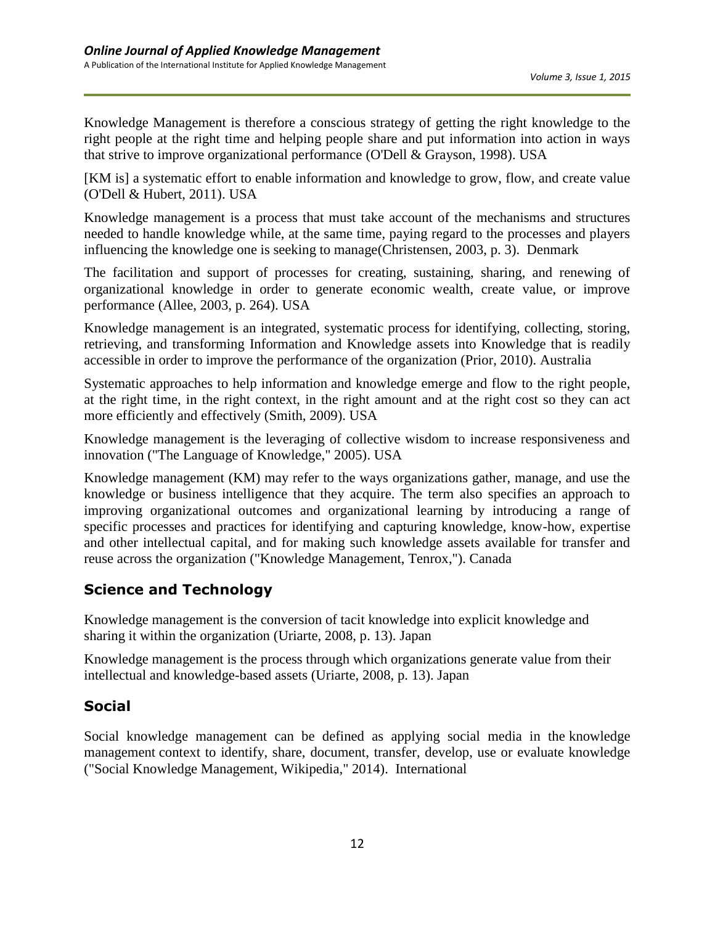Knowledge Management is therefore a conscious strategy of getting the right knowledge to the right people at the right time and helping people share and put information into action in ways that strive to improve organizational performance (O'Dell & Grayson, 1998). USA

[KM is] a systematic effort to enable information and knowledge to grow, flow, and create value (O'Dell & Hubert, 2011). USA

Knowledge management is a process that must take account of the mechanisms and structures needed to handle knowledge while, at the same time, paying regard to the processes and players influencing the knowledge one is seeking to manage(Christensen, 2003, p. 3). Denmark

The facilitation and support of processes for creating, sustaining, sharing, and renewing of organizational knowledge in order to generate economic wealth, create value, or improve performance (Allee, 2003, p. 264). USA

Knowledge management is an integrated, systematic process for identifying, collecting, storing, retrieving, and transforming Information and Knowledge assets into Knowledge that is readily accessible in order to improve the performance of the organization (Prior, 2010). Australia

Systematic approaches to help information and knowledge emerge and flow to the right people, at the right time, in the right context, in the right amount and at the right cost so they can act more efficiently and effectively (Smith, 2009). USA

Knowledge management is the leveraging of collective wisdom to increase responsiveness and innovation ("The Language of Knowledge," 2005). USA

Knowledge management (KM) may refer to the ways organizations gather, manage, and use the knowledge or business intelligence that they acquire. The term also specifies an approach to improving organizational outcomes and organizational learning by introducing a range of specific processes and practices for identifying and capturing knowledge, know-how, expertise and other intellectual capital, and for making such knowledge assets available for transfer and reuse across the organization ("Knowledge Management, Tenrox,"). Canada

## **Science and Technology**

Knowledge management is the conversion of tacit knowledge into explicit knowledge and sharing it within the organization (Uriarte, 2008, p. 13). Japan

Knowledge management is the process through which organizations generate value from their intellectual and knowledge-based assets (Uriarte, 2008, p. 13). Japan

## **Social**

Social knowledge management can be defined as applying social media in the knowledge management context to identify, share, document, transfer, develop, use or evaluate knowledge ("Social Knowledge Management, Wikipedia," 2014). International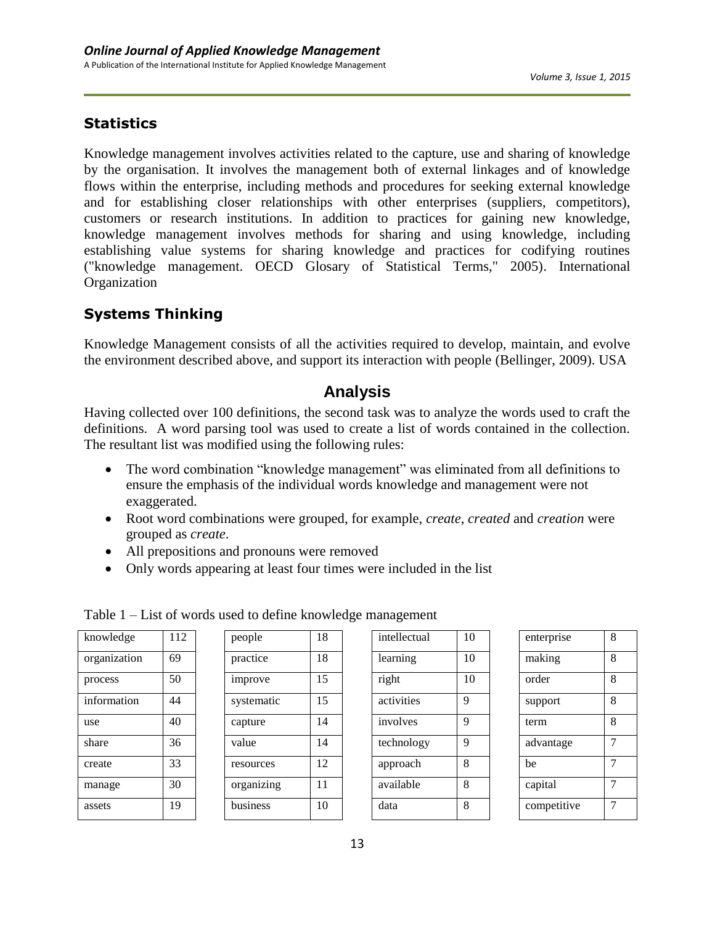## **Statistics**

Knowledge management involves activities related to the capture, use and sharing of knowledge by the organisation. It involves the management both of external linkages and of knowledge flows within the enterprise, including methods and procedures for seeking external knowledge and for establishing closer relationships with other enterprises (suppliers, competitors), customers or research institutions. In addition to practices for gaining new knowledge, knowledge management involves methods for sharing and using knowledge, including establishing value systems for sharing knowledge and practices for codifying routines ("knowledge management. OECD Glosary of Statistical Terms," 2005). International Organization

## **Systems Thinking**

Knowledge Management consists of all the activities required to develop, maintain, and evolve the environment described above, and support its interaction with people (Bellinger, 2009). USA

## **Analysis**

Having collected over 100 definitions, the second task was to analyze the words used to craft the definitions. A word parsing tool was used to create a list of words contained in the collection. The resultant list was modified using the following rules:

- The word combination "knowledge management" was eliminated from all definitions to ensure the emphasis of the individual words knowledge and management were not exaggerated.
- Root word combinations were grouped, for example, *create*, *created* and *creation* were grouped as *create*.
- All prepositions and pronouns were removed

Table 1 – List of words used to define knowledge management

Only words appearing at least four times were included in the list

| knowledge    | 112 |
|--------------|-----|
| organization | 69  |
| process      | 50  |
| information  | 44  |
| use          | 40  |
| share        | 36  |
| create       | 33  |
| manage       | 30  |
| assets       | 19  |

| people     | 18 |
|------------|----|
| practice   | 18 |
| improve    | 15 |
| systematic | 15 |
| capture    | 14 |
| value      | 14 |
| resources  | 12 |
| organizing | 11 |
| business   | 10 |

| intellectual | 10 |
|--------------|----|
| learning     | 10 |
| right        | 10 |
| activities   | 9  |
| involves     | 9  |
| technology   | 9  |
| approach     | 8  |
| available    | 8  |
| data         | 8  |
|              |    |

| enterprise  | 8 |
|-------------|---|
| making      | 8 |
| order       | 8 |
| support     | 8 |
| term        | 8 |
| advantage   | 7 |
| be          | 7 |
| capital     | 7 |
| competitive | 7 |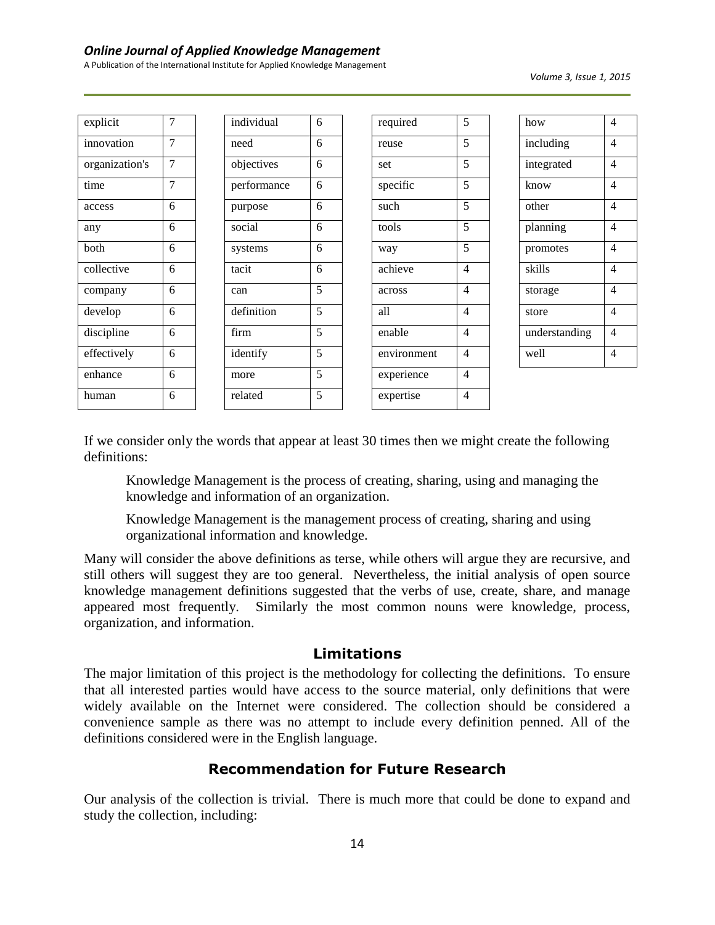#### *Online Journal of Applied Knowledge Management*

A Publication of the International Institute for Applied Knowledge Management

| explicit       | 7              | individual  | 6 | required    | 5              | how           | $\overline{4}$ |
|----------------|----------------|-------------|---|-------------|----------------|---------------|----------------|
| innovation     | $\overline{7}$ | need        | 6 | reuse       | 5              | including     | $\overline{4}$ |
| organization's | 7              | objectives  | 6 | set         | 5              | integrated    | $\overline{4}$ |
| time           | $\overline{7}$ | performance | 6 | specific    | 5              | know          | $\overline{4}$ |
| access         | 6              | purpose     | 6 | such        | 5              | other         | $\overline{4}$ |
| any            | 6              | social      | 6 | tools       | 5              | planning      | $\overline{4}$ |
| both           | 6              | systems     | 6 | way         | 5              | promotes      | $\overline{4}$ |
| collective     | 6              | tacit       | 6 | achieve     | 4              | skills        | $\overline{4}$ |
| company        | 6              | can         | 5 | across      | $\overline{4}$ | storage       | $\overline{4}$ |
| develop        | 6              | definition  | 5 | all         | 4              | store         | $\overline{4}$ |
| discipline     | 6              | firm        | 5 | enable      | $\overline{4}$ | understanding | $\overline{4}$ |
| effectively    | 6              | identify    | 5 | environment | 4              | well          | $\overline{4}$ |
| enhance        | 6              | more        | 5 | experience  | 4              |               |                |
| human          | 6              | related     | 5 | expertise   | $\overline{4}$ |               |                |

If we consider only the words that appear at least 30 times then we might create the following definitions:

Knowledge Management is the process of creating, sharing, using and managing the knowledge and information of an organization.

Knowledge Management is the management process of creating, sharing and using organizational information and knowledge.

Many will consider the above definitions as terse, while others will argue they are recursive, and still others will suggest they are too general. Nevertheless, the initial analysis of open source knowledge management definitions suggested that the verbs of use, create, share, and manage appeared most frequently. Similarly the most common nouns were knowledge, process, organization, and information.

#### **Limitations**

The major limitation of this project is the methodology for collecting the definitions. To ensure that all interested parties would have access to the source material, only definitions that were widely available on the Internet were considered. The collection should be considered a convenience sample as there was no attempt to include every definition penned. All of the definitions considered were in the English language.

#### **Recommendation for Future Research**

Our analysis of the collection is trivial. There is much more that could be done to expand and study the collection, including: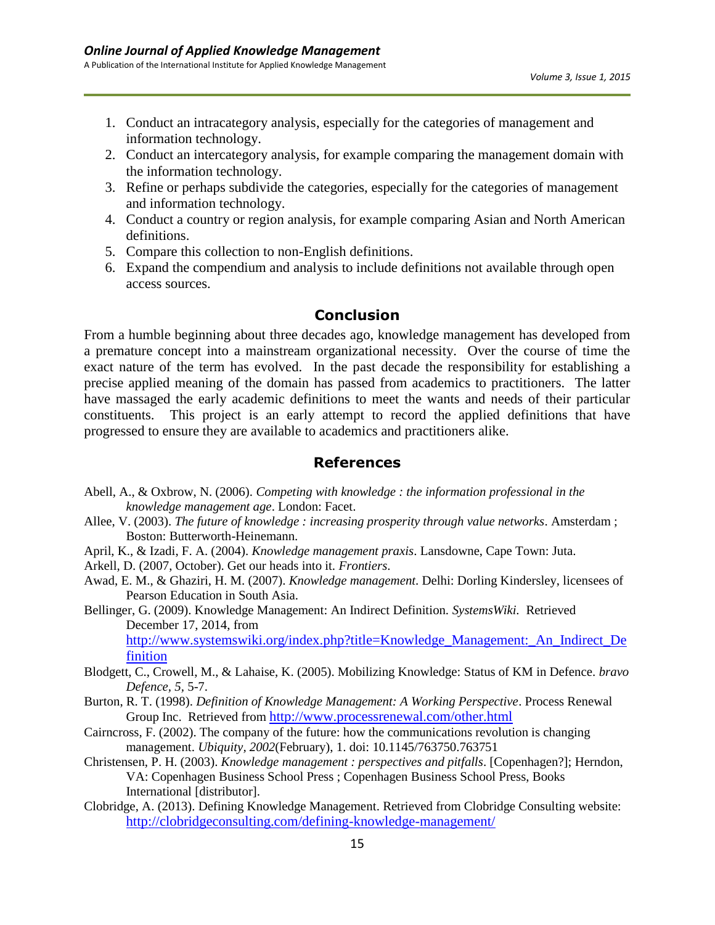- 1. Conduct an intracategory analysis, especially for the categories of management and information technology.
- 2. Conduct an intercategory analysis, for example comparing the management domain with the information technology.
- 3. Refine or perhaps subdivide the categories, especially for the categories of management and information technology.
- 4. Conduct a country or region analysis, for example comparing Asian and North American definitions.
- 5. Compare this collection to non-English definitions.
- 6. Expand the compendium and analysis to include definitions not available through open access sources.

#### **Conclusion**

From a humble beginning about three decades ago, knowledge management has developed from a premature concept into a mainstream organizational necessity. Over the course of time the exact nature of the term has evolved. In the past decade the responsibility for establishing a precise applied meaning of the domain has passed from academics to practitioners. The latter have massaged the early academic definitions to meet the wants and needs of their particular constituents. This project is an early attempt to record the applied definitions that have progressed to ensure they are available to academics and practitioners alike.

#### **References**

- Abell, A., & Oxbrow, N. (2006). *Competing with knowledge : the information professional in the knowledge management age*. London: Facet.
- Allee, V. (2003). *The future of knowledge : increasing prosperity through value networks*. Amsterdam ; Boston: Butterworth-Heinemann.
- April, K., & Izadi, F. A. (2004). *Knowledge management praxis*. Lansdowne, Cape Town: Juta.
- Arkell, D. (2007, October). Get our heads into it. *Frontiers*.
- Awad, E. M., & Ghaziri, H. M. (2007). *Knowledge management*. Delhi: Dorling Kindersley, licensees of Pearson Education in South Asia.

Bellinger, G. (2009). Knowledge Management: An Indirect Definition. *SystemsWiki.* Retrieved December 17, 2014, from

[http://www.systemswiki.org/index.php?title=Knowledge\\_Management:\\_An\\_Indirect\\_De](http://www.systemswiki.org/index.php?title=Knowledge_Management:_An_Indirect_Definition) [finition](http://www.systemswiki.org/index.php?title=Knowledge_Management:_An_Indirect_Definition)

- Blodgett, C., Crowell, M., & Lahaise, K. (2005). Mobilizing Knowledge: Status of KM in Defence. *bravo Defence, 5,* 5-7.
- Burton, R. T. (1998). *Definition of Knowledge Management: A Working Perspective*. Process Renewal Group Inc. Retrieved from <http://www.processrenewal.com/other.html>
- Cairncross, F. (2002). The company of the future: how the communications revolution is changing management. *Ubiquity, 2002*(February), 1. doi: 10.1145/763750.763751
- Christensen, P. H. (2003). *Knowledge management : perspectives and pitfalls*. [Copenhagen?]; Herndon, VA: Copenhagen Business School Press ; Copenhagen Business School Press, Books International [distributor].
- Clobridge, A. (2013). Defining Knowledge Management. Retrieved from Clobridge Consulting website: <http://clobridgeconsulting.com/defining-knowledge-management/>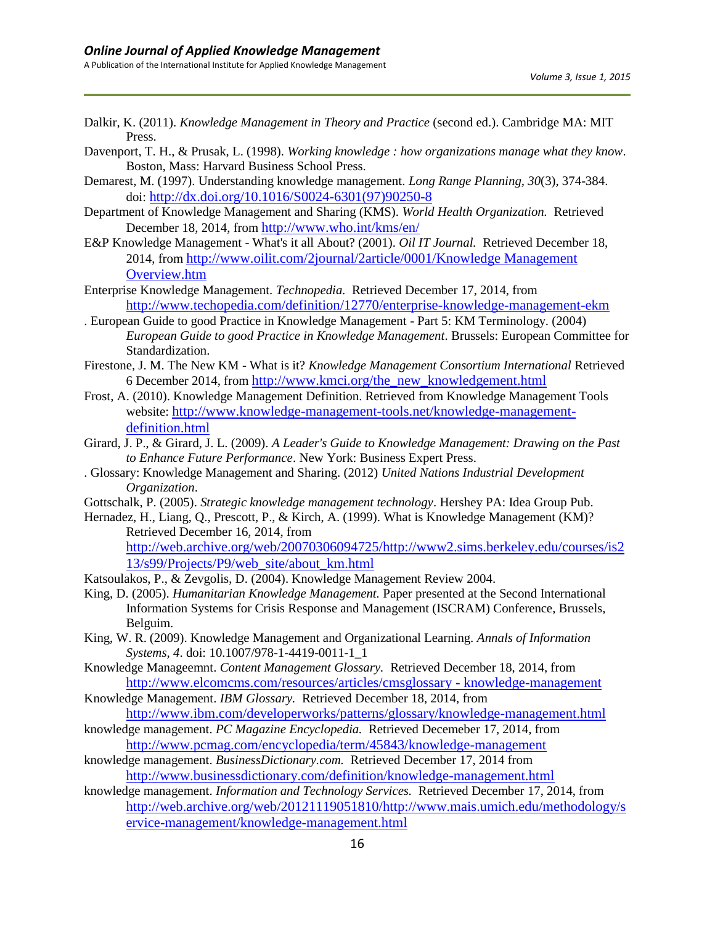- Dalkir, K. (2011). *Knowledge Management in Theory and Practice* (second ed.). Cambridge MA: MIT Press.
- Davenport, T. H., & Prusak, L. (1998). *Working knowledge : how organizations manage what they know*. Boston, Mass: Harvard Business School Press.
- Demarest, M. (1997). Understanding knowledge management. *Long Range Planning, 30*(3), 374-384. doi: [http://dx.doi.org/10.1016/S0024-6301\(97\)90250-8](http://dx.doi.org/10.1016/S0024-6301(97)90250-8)
- Department of Knowledge Management and Sharing (KMS). *World Health Organization.* Retrieved December 18, 2014, from <http://www.who.int/kms/en/>
- E&P Knowledge Management What's it all About? (2001). *Oil IT Journal.* Retrieved December 18, 2014, from [http://www.oilit.com/2journal/2article/0001/Knowledge Management](http://www.oilit.com/2journal/2article/0001/Knowledge%20Management%20Overview.htm)  [Overview.htm](http://www.oilit.com/2journal/2article/0001/Knowledge%20Management%20Overview.htm)
- Enterprise Knowledge Management. *Technopedia.* Retrieved December 17, 2014, from <http://www.techopedia.com/definition/12770/enterprise-knowledge-management-ekm>
- . European Guide to good Practice in Knowledge Management Part 5: KM Terminology. (2004) *European Guide to good Practice in Knowledge Management*. Brussels: European Committee for Standardization.
- Firestone, J. M. The New KM What is it? *Knowledge Management Consortium International* Retrieved 6 December 2014, from [http://www.kmci.org/the\\_new\\_knowledgement.html](http://www.kmci.org/the_new_knowledgement.html)
- Frost, A. (2010). Knowledge Management Definition. Retrieved from Knowledge Management Tools website: [http://www.knowledge-management-tools.net/knowledge-management](http://www.knowledge-management-tools.net/knowledge-management-definition.html)[definition.html](http://www.knowledge-management-tools.net/knowledge-management-definition.html)
- Girard, J. P., & Girard, J. L. (2009). *A Leader's Guide to Knowledge Management: Drawing on the Past to Enhance Future Performance*. New York: Business Expert Press.
- . Glossary: Knowledge Management and Sharing. (2012) *United Nations Industrial Development Organization*.
- Gottschalk, P. (2005). *Strategic knowledge management technology*. Hershey PA: Idea Group Pub.
- Hernadez, H., Liang, Q., Prescott, P., & Kirch, A. (1999). What is Knowledge Management (KM)? Retrieved December 16, 2014, from

[http://web.archive.org/web/20070306094725/http://www2.sims.berkeley.edu/courses/is2](http://web.archive.org/web/20070306094725/http:/www2.sims.berkeley.edu/courses/is213/s99/Projects/P9/web_site/about_km.html) [13/s99/Projects/P9/web\\_site/about\\_km.html](http://web.archive.org/web/20070306094725/http:/www2.sims.berkeley.edu/courses/is213/s99/Projects/P9/web_site/about_km.html)

- Katsoulakos, P., & Zevgolis, D. (2004). Knowledge Management Review 2004.
- King, D. (2005). *Humanitarian Knowledge Management.* Paper presented at the Second International Information Systems for Crisis Response and Management (ISCRAM) Conference, Brussels, Belguim.
- King, W. R. (2009). Knowledge Management and Organizational Learning. *Annals of Information Systems, 4*. doi: 10.1007/978-1-4419-0011-1\_1
- Knowledge Manageemnt. *Content Management Glossary.* Retrieved December 18, 2014, from [http://www.elcomcms.com/resources/articles/cmsglossary -](http://www.elcomcms.com/resources/articles/cmsglossary#knowledge-management) knowledge-management
- Knowledge Management. *IBM Glossary.* Retrieved December 18, 2014, from <http://www.ibm.com/developerworks/patterns/glossary/knowledge-management.html>
- knowledge management. *PC Magazine Encyclopedia.* Retrieved Decemeber 17, 2014, from <http://www.pcmag.com/encyclopedia/term/45843/knowledge-management>
- knowledge management. *BusinessDictionary.com.* Retrieved December 17, 2014 from <http://www.businessdictionary.com/definition/knowledge-management.html>
- knowledge management. *Information and Technology Services.* Retrieved December 17, 2014, from [http://web.archive.org/web/20121119051810/http://www.mais.umich.edu/methodology/s](http://web.archive.org/web/20121119051810/http:/www.mais.umich.edu/methodology/service-management/knowledge-management.html) [ervice-management/knowledge-management.html](http://web.archive.org/web/20121119051810/http:/www.mais.umich.edu/methodology/service-management/knowledge-management.html)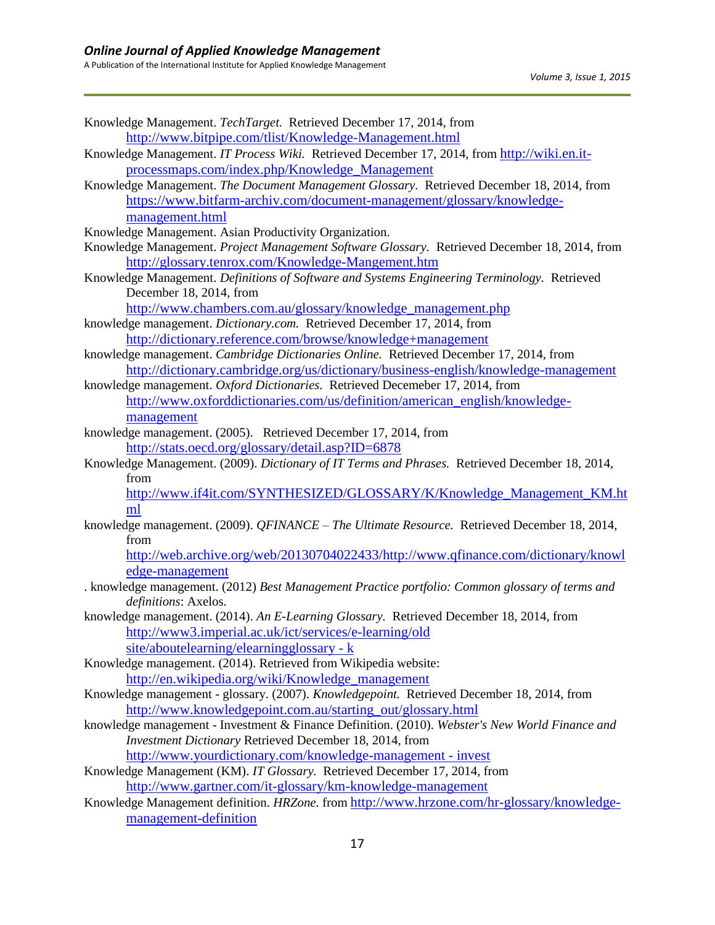| Knowledge Management. TechTarget. Retrieved December 17, 2014, from                                             |
|-----------------------------------------------------------------------------------------------------------------|
| http://www.bitpipe.com/tlist/Knowledge-Management.html                                                          |
| Knowledge Management. IT Process Wiki. Retrieved December 17, 2014, from http://wiki.en.it-                     |
| processmaps.com/index.php/Knowledge_Management                                                                  |
| Knowledge Management. The Document Management Glossary. Retrieved December 18, 2014, from                       |
| https://www.bitfarm-archiv.com/document-management/glossary/knowledge-                                          |
| management.html                                                                                                 |
| Knowledge Management. Asian Productivity Organization.                                                          |
| Knowledge Management. Project Management Software Glossary. Retrieved December 18, 2014, from                   |
| http://glossary.tenrox.com/Knowledge-Mangement.htm                                                              |
| Knowledge Management. Definitions of Software and Systems Engineering Terminology. Retrieved                    |
| December 18, 2014, from                                                                                         |
| http://www.chambers.com.au/glossary/knowledge_management.php                                                    |
| knowledge management. Dictionary.com. Retrieved December 17, 2014, from                                         |
| http://dictionary.reference.com/browse/knowledge+management                                                     |
| knowledge management. Cambridge Dictionaries Online. Retrieved December 17, 2014, from                          |
| http://dictionary.cambridge.org/us/dictionary/business-english/knowledge-management                             |
| knowledge management. Oxford Dictionaries. Retrieved Decemeber 17, 2014, from                                   |
| http://www.oxforddictionaries.com/us/definition/american_english/knowledge-                                     |
| management                                                                                                      |
| knowledge management. (2005). Retrieved December 17, 2014, from                                                 |
| http://stats.oecd.org/glossary/detail.asp?ID=6878                                                               |
| Knowledge Management. (2009). Dictionary of IT Terms and Phrases. Retrieved December 18, 2014,                  |
| from                                                                                                            |
| http://www.if4it.com/SYNTHESIZED/GLOSSARY/K/Knowledge_Management_KM.ht                                          |
| ml                                                                                                              |
| knowledge management. (2009). QFINANCE - The Ultimate Resource. Retrieved December 18, 2014,                    |
| from                                                                                                            |
| http://web.archive.org/web/20130704022433/http://www.qfinance.com/dictionary/knowl                              |
| edge-management                                                                                                 |
| . knowledge management. (2012) Best Management Practice portfolio: Common glossary of terms and                 |
| definitions: Axelos.<br>knowledge management. (2014). An E-Learning Glossary. Retrieved December 18, 2014, from |
| http://www3.imperial.ac.uk/ict/services/e-learning/old                                                          |
| site/aboutelearning/elearningglossary - k                                                                       |
| Knowledge management. (2014). Retrieved from Wikipedia website:                                                 |
| http://en.wikipedia.org/wiki/Knowledge_management                                                               |
| Knowledge management - glossary. (2007). Knowledgepoint. Retrieved December 18, 2014, from                      |
| http://www.knowledgepoint.com.au/starting_out/glossary.html                                                     |
| knowledge management - Investment & Finance Definition. (2010). Webster's New World Finance and                 |
| Investment Dictionary Retrieved December 18, 2014, from                                                         |
| http://www.yourdictionary.com/knowledge-management - invest                                                     |
| Knowledge Management (KM). IT Glossary. Retrieved December 17, 2014, from                                       |
| http://www.gartner.com/it-glossary/km-knowledge-management                                                      |
|                                                                                                                 |

Knowledge Management definition. *HRZone*. from [http://www.hrzone.com/hr-glossary/knowledge](http://www.hrzone.com/hr-glossary/knowledge-management-definition)[management-definition](http://www.hrzone.com/hr-glossary/knowledge-management-definition)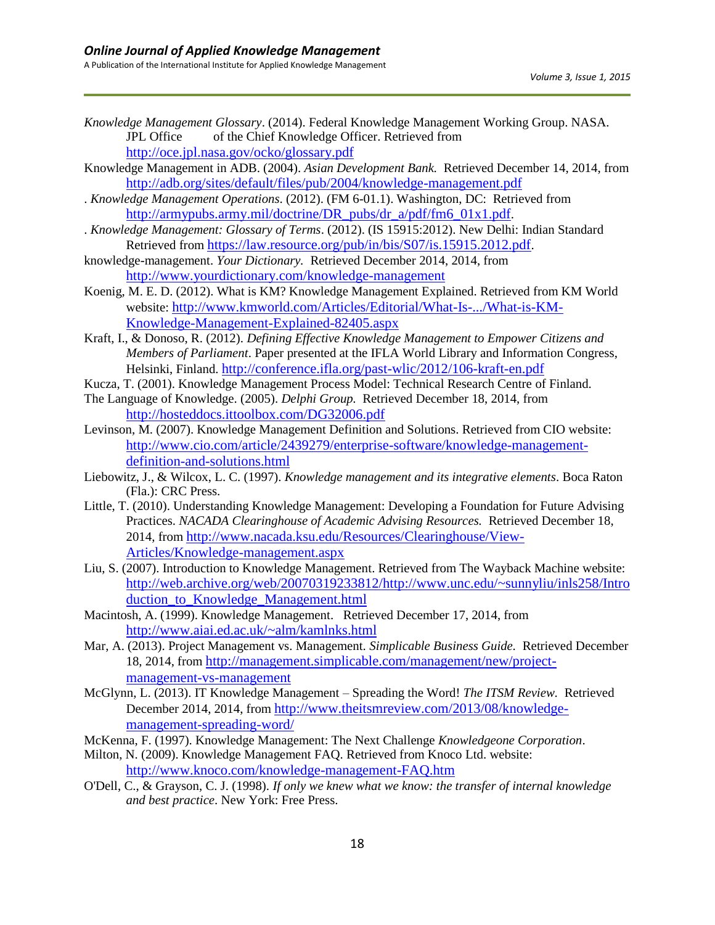- *Knowledge Management Glossary*. (2014). Federal Knowledge Management Working Group. NASA. JPL Office of the Chief Knowledge Officer. Retrieved from <http://oce.jpl.nasa.gov/ocko/glossary.pdf>
- Knowledge Management in ADB. (2004). *Asian Development Bank.* Retrieved December 14, 2014, from <http://adb.org/sites/default/files/pub/2004/knowledge-management.pdf>
- . *Knowledge Management Operations*. (2012). (FM 6-01.1). Washington, DC: Retrieved from [http://armypubs.army.mil/doctrine/DR\\_pubs/dr\\_a/pdf/fm6\\_01x1.pdf](http://armypubs.army.mil/doctrine/DR_pubs/dr_a/pdf/fm6_01x1.pdf).
- . *Knowledge Management: Glossary of Terms*. (2012). (IS 15915:2012). New Delhi: Indian Standard Retrieved from <https://law.resource.org/pub/in/bis/S07/is.15915.2012.pdf>.
- knowledge-management. *Your Dictionary.* Retrieved December 2014, 2014, from <http://www.yourdictionary.com/knowledge-management>
- Koenig, M. E. D. (2012). What is KM? Knowledge Management Explained. Retrieved from KM World website: [http://www.kmworld.com/Articles/Editorial/What-Is-.../What-is-KM-](http://www.kmworld.com/Articles/Editorial/What-Is-.../What-is-KM-Knowledge-Management-Explained-82405.aspx)[Knowledge-Management-Explained-82405.aspx](http://www.kmworld.com/Articles/Editorial/What-Is-.../What-is-KM-Knowledge-Management-Explained-82405.aspx)
- Kraft, I., & Donoso, R. (2012). *Defining Effective Knowledge Management to Empower Citizens and Members of Parliament*. Paper presented at the IFLA World Library and Information Congress, Helsinki, Finland. <http://conference.ifla.org/past-wlic/2012/106-kraft-en.pdf>
- Kucza, T. (2001). Knowledge Management Process Model: Technical Research Centre of Finland.
- The Language of Knowledge. (2005). *Delphi Group.* Retrieved December 18, 2014, from <http://hosteddocs.ittoolbox.com/DG32006.pdf>
- Levinson, M. (2007). Knowledge Management Definition and Solutions. Retrieved from CIO website: [http://www.cio.com/article/2439279/enterprise-software/knowledge-management](http://www.cio.com/article/2439279/enterprise-software/knowledge-management-definition-and-solutions.html)[definition-and-solutions.html](http://www.cio.com/article/2439279/enterprise-software/knowledge-management-definition-and-solutions.html)
- Liebowitz, J., & Wilcox, L. C. (1997). *Knowledge management and its integrative elements*. Boca Raton (Fla.): CRC Press.
- Little, T. (2010). Understanding Knowledge Management: Developing a Foundation for Future Advising Practices. *NACADA Clearinghouse of Academic Advising Resources.* Retrieved December 18, 2014, from [http://www.nacada.ksu.edu/Resources/Clearinghouse/View-](http://www.nacada.ksu.edu/Resources/Clearinghouse/View-Articles/Knowledge-management.aspx)[Articles/Knowledge-management.aspx](http://www.nacada.ksu.edu/Resources/Clearinghouse/View-Articles/Knowledge-management.aspx)
- Liu, S. (2007). Introduction to Knowledge Management. Retrieved from The Wayback Machine website: [http://web.archive.org/web/20070319233812/http://www.unc.edu/~sunnyliu/inls258/Intro](http://web.archive.org/web/20070319233812/http:/www.unc.edu/~sunnyliu/inls258/Introduction_to_Knowledge_Management.html) duction to Knowledge Management.html
- Macintosh, A. (1999). Knowledge Management. Retrieved December 17, 2014, from <http://www.aiai.ed.ac.uk/~alm/kamlnks.html>
- Mar, A. (2013). Project Management vs. Management. *Simplicable Business Guide.* Retrieved December 18, 2014, from [http://management.simplicable.com/management/new/project](http://management.simplicable.com/management/new/project-management-vs-management)[management-vs-management](http://management.simplicable.com/management/new/project-management-vs-management)
- McGlynn, L. (2013). IT Knowledge Management Spreading the Word! *The ITSM Review.* Retrieved December 2014, 2014, from [http://www.theitsmreview.com/2013/08/knowledge](http://www.theitsmreview.com/2013/08/knowledge-management-spreading-word/)[management-spreading-word/](http://www.theitsmreview.com/2013/08/knowledge-management-spreading-word/)
- McKenna, F. (1997). Knowledge Management: The Next Challenge *Knowledgeone Corporation*.
- Milton, N. (2009). Knowledge Management FAQ. Retrieved from Knoco Ltd. website: <http://www.knoco.com/knowledge-management-FAQ.htm>
- O'Dell, C., & Grayson, C. J. (1998). *If only we knew what we know: the transfer of internal knowledge and best practice*. New York: Free Press.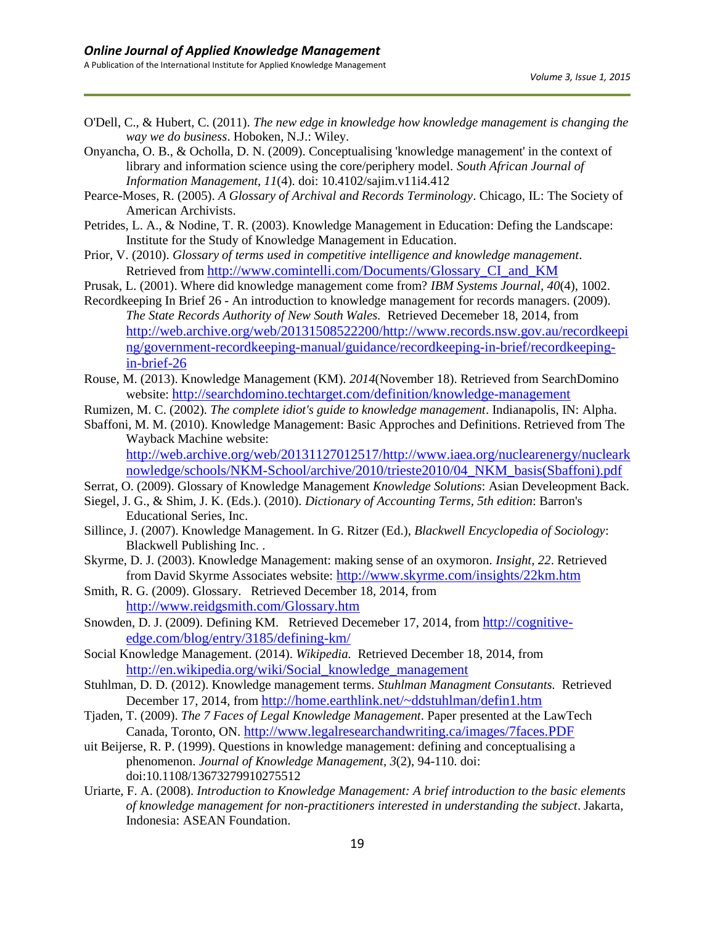- O'Dell, C., & Hubert, C. (2011). *The new edge in knowledge how knowledge management is changing the way we do business*. Hoboken, N.J.: Wiley.
- Onyancha, O. B., & Ocholla, D. N. (2009). Conceptualising 'knowledge management' in the context of library and information science using the core/periphery model. *South African Journal of Information Management, 11*(4). doi: 10.4102/sajim.v11i4.412
- Pearce-Moses, R. (2005). *A Glossary of Archival and Records Terminology*. Chicago, IL: The Society of American Archivists.
- Petrides, L. A., & Nodine, T. R. (2003). Knowledge Management in Education: Defing the Landscape: Institute for the Study of Knowledge Management in Education.
- Prior, V. (2010). *Glossary of terms used in competitive intelligence and knowledge management*. Retrieved from [http://www.comintelli.com/Documents/Glossary\\_CI\\_and\\_KM](http://www.comintelli.com/Documents/Glossary_CI_and_KM)
- Prusak, L. (2001). Where did knowledge management come from? *IBM Systems Journal, 40*(4), 1002.
- Recordkeeping In Brief 26 An introduction to knowledge management for records managers. (2009). *The State Records Authority of New South Wales.* Retrieved Decemeber 18, 2014, from [http://web.archive.org/web/20131508522200/http://www.records.nsw.gov.au/recordkeepi](http://web.archive.org/web/20131508522200/http:/www.records.nsw.gov.au/recordkeeping/government-recordkeeping-manual/guidance/recordkeeping-in-brief/recordkeeping-in-brief-26) [ng/government-recordkeeping-manual/guidance/recordkeeping-in-brief/recordkeeping](http://web.archive.org/web/20131508522200/http:/www.records.nsw.gov.au/recordkeeping/government-recordkeeping-manual/guidance/recordkeeping-in-brief/recordkeeping-in-brief-26)[in-brief-26](http://web.archive.org/web/20131508522200/http:/www.records.nsw.gov.au/recordkeeping/government-recordkeeping-manual/guidance/recordkeeping-in-brief/recordkeeping-in-brief-26)
- Rouse, M. (2013). Knowledge Management (KM). *2014*(November 18). Retrieved from SearchDomino website: <http://searchdomino.techtarget.com/definition/knowledge-management>
- Rumizen, M. C. (2002). *The complete idiot's guide to knowledge management*. Indianapolis, IN: Alpha.
- Sbaffoni, M. M. (2010). Knowledge Management: Basic Approches and Definitions. Retrieved from The Wayback Machine website: [http://web.archive.org/web/20131127012517/http://www.iaea.org/nuclearenergy/nucleark](http://web.archive.org/web/20131127012517/http:/www.iaea.org/nuclearenergy/nuclearknowledge/schools/NKM-School/archive/2010/trieste2010/04_NKM_basis(Sbaffoni).pdf)

[nowledge/schools/NKM-School/archive/2010/trieste2010/04\\_NKM\\_basis\(Sbaffoni\).pdf](http://web.archive.org/web/20131127012517/http:/www.iaea.org/nuclearenergy/nuclearknowledge/schools/NKM-School/archive/2010/trieste2010/04_NKM_basis(Sbaffoni).pdf)

- Serrat, O. (2009). Glossary of Knowledge Management *Knowledge Solutions*: Asian Develeopment Back.
- Siegel, J. G., & Shim, J. K. (Eds.). (2010). *Dictionary of Accounting Terms, 5th edition*: Barron's Educational Series, Inc.
- Sillince, J. (2007). Knowledge Management. In G. Ritzer (Ed.), *Blackwell Encyclopedia of Sociology*: Blackwell Publishing Inc. .
- Skyrme, D. J. (2003). Knowledge Management: making sense of an oxymoron. *Insight, 22*. Retrieved from David Skyrme Associates website: <http://www.skyrme.com/insights/22km.htm>
- Smith, R. G. (2009). Glossary. Retrieved December 18, 2014, from <http://www.reidgsmith.com/Glossary.htm>
- Snowden, D. J. (2009). Defining KM. Retrieved Decemeber 17, 2014, from [http://cognitive](http://cognitive-edge.com/blog/entry/3185/defining-km/)[edge.com/blog/entry/3185/defining-km/](http://cognitive-edge.com/blog/entry/3185/defining-km/)
- Social Knowledge Management. (2014). *Wikipedia.* Retrieved December 18, 2014, from [http://en.wikipedia.org/wiki/Social\\_knowledge\\_management](http://en.wikipedia.org/wiki/Social_knowledge_management)
- Stuhlman, D. D. (2012). Knowledge management terms. *Stuhlman Managment Consutants.* Retrieved December 17, 2014, from <http://home.earthlink.net/~ddstuhlman/defin1.htm>
- Tjaden, T. (2009). *The 7 Faces of Legal Knowledge Management*. Paper presented at the LawTech Canada, Toronto, ON. <http://www.legalresearchandwriting.ca/images/7faces.PDF>
- uit Beijerse, R. P. (1999). Questions in knowledge management: defining and conceptualising a phenomenon. *Journal of Knowledge Management, 3*(2), 94-110. doi: doi:10.1108/13673279910275512
- Uriarte, F. A. (2008). *Introduction to Knowledge Management: A brief introduction to the basic elements of knowledge management for non-practitioners interested in understanding the subject*. Jakarta, Indonesia: ASEAN Foundation.